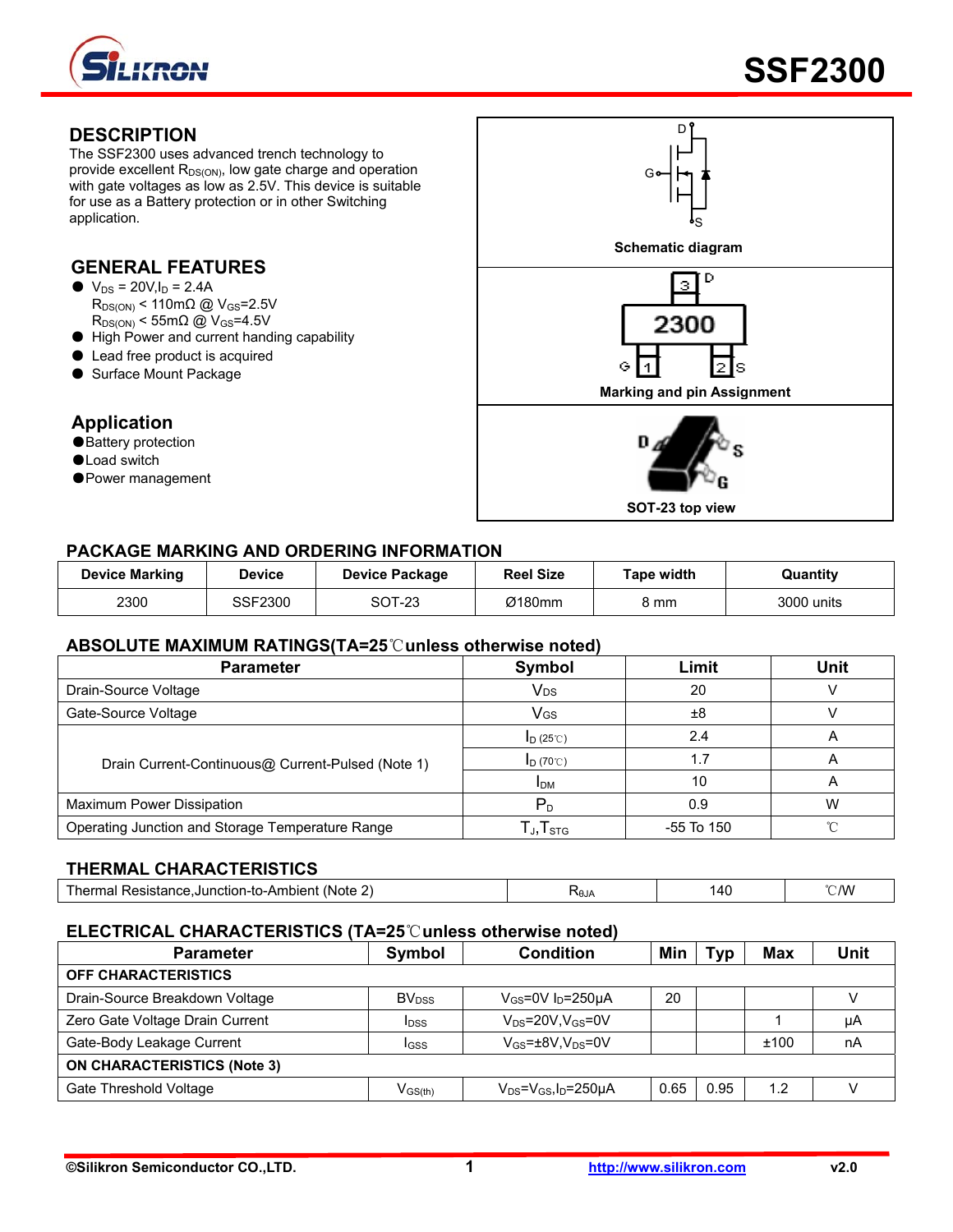

#### **DESCRIPTION**

The SSF2300 uses advanced trench technology to provide excellent  $R_{DS(ON)}$ , low gate charge and operation with gate voltages as low as 2.5V. This device is suitable for use as a Battery protection or in other Switching application.

### **GENERAL FEATURES**

- $\bullet$  V<sub>DS</sub> = 20V, I<sub>D</sub> = 2.4A  $R_{DS(ON)}$  < 110m $\Omega$  @ V<sub>GS</sub>=2.5V  $R_{DS(ON)}$  < 55m $\Omega$  @ V<sub>GS</sub>=4.5V
- High Power and current handing capability
- Lead free product is acquired
- Surface Mount Package

#### **Application**

- ●Battery protection
- ●Load switch
- Power management



#### **PACKAGE MARKING AND ORDERING INFORMATION**

| <b>Device Marking</b> | <b>Device</b> | Device Package | <b>Reel Size</b> | Гаре width | Quantity   |
|-----------------------|---------------|----------------|------------------|------------|------------|
| 2300                  | SSF2300       | SOT-23         | Ø180mm           | კ mm       | 3000 units |

#### **ABSOLUTE MAXIMUM RATINGS(TA=25**℃**unless otherwise noted)**

| <b>Parameter</b>                                  | Symbol                                                    | Limit      | <b>Unit</b> |
|---------------------------------------------------|-----------------------------------------------------------|------------|-------------|
| Drain-Source Voltage                              | Vds                                                       | 20         |             |
| Gate-Source Voltage                               | Vgs                                                       | ±8         |             |
|                                                   | $I_D(25^\circ\text{C})$                                   | 2.4        |             |
| Drain Current-Continuous@ Current-Pulsed (Note 1) | $I_D$ (70°C)                                              | 1.7        |             |
|                                                   | <b>IDM</b>                                                | 10         |             |
| Maximum Power Dissipation                         | $\mathsf{P}_{\texttt{D}}$                                 | 0.9        | W           |
| Operating Junction and Storage Temperature Range  | $\mathsf{\Gamma}_{\mathsf{J}}, \mathsf{T}_{\textsf{STG}}$ | -55 To 150 | $\sim$      |

#### **THERMAL CHARACTERISTICS**

| <b>NAIA</b><br>-vur | ⊺hermal<br>l Resistance.Junction-to-Ambient⊣<br>: (Note |  | '40 | $^{\circ}$ MV |
|---------------------|---------------------------------------------------------|--|-----|---------------|
|---------------------|---------------------------------------------------------|--|-----|---------------|

#### **ELECTRICAL CHARACTERISTICS (TA=25**℃**unless otherwise noted)**

| <b>Parameter</b>                   | Symbol                  | <b>Condition</b>                        | Min  | <b>Typ</b> | <b>Max</b> | <b>Unit</b> |
|------------------------------------|-------------------------|-----------------------------------------|------|------------|------------|-------------|
| <b>OFF CHARACTERISTICS</b>         |                         |                                         |      |            |            |             |
| Drain-Source Breakdown Voltage     | BV <sub>DSS</sub>       | $V_{GS}$ =0V $I_D$ =250µA               | 20   |            |            |             |
| Zero Gate Voltage Drain Current    | <b>I</b> <sub>DSS</sub> | $V_{DS}$ =20V.V $_{GS}$ =0V             |      |            |            | μA          |
| Gate-Body Leakage Current          | IGSS                    | $V_{GS}$ = $\pm$ 8V,V <sub>DS</sub> =0V |      |            | ±100       | nA          |
| <b>ON CHARACTERISTICS (Note 3)</b> |                         |                                         |      |            |            |             |
| Gate Threshold Voltage             | $V_{\rm GS(th)}$        | $V_{DS} = V_{GS}I_D = 250 \mu A$        | 0.65 | 0.95       | 1.2        |             |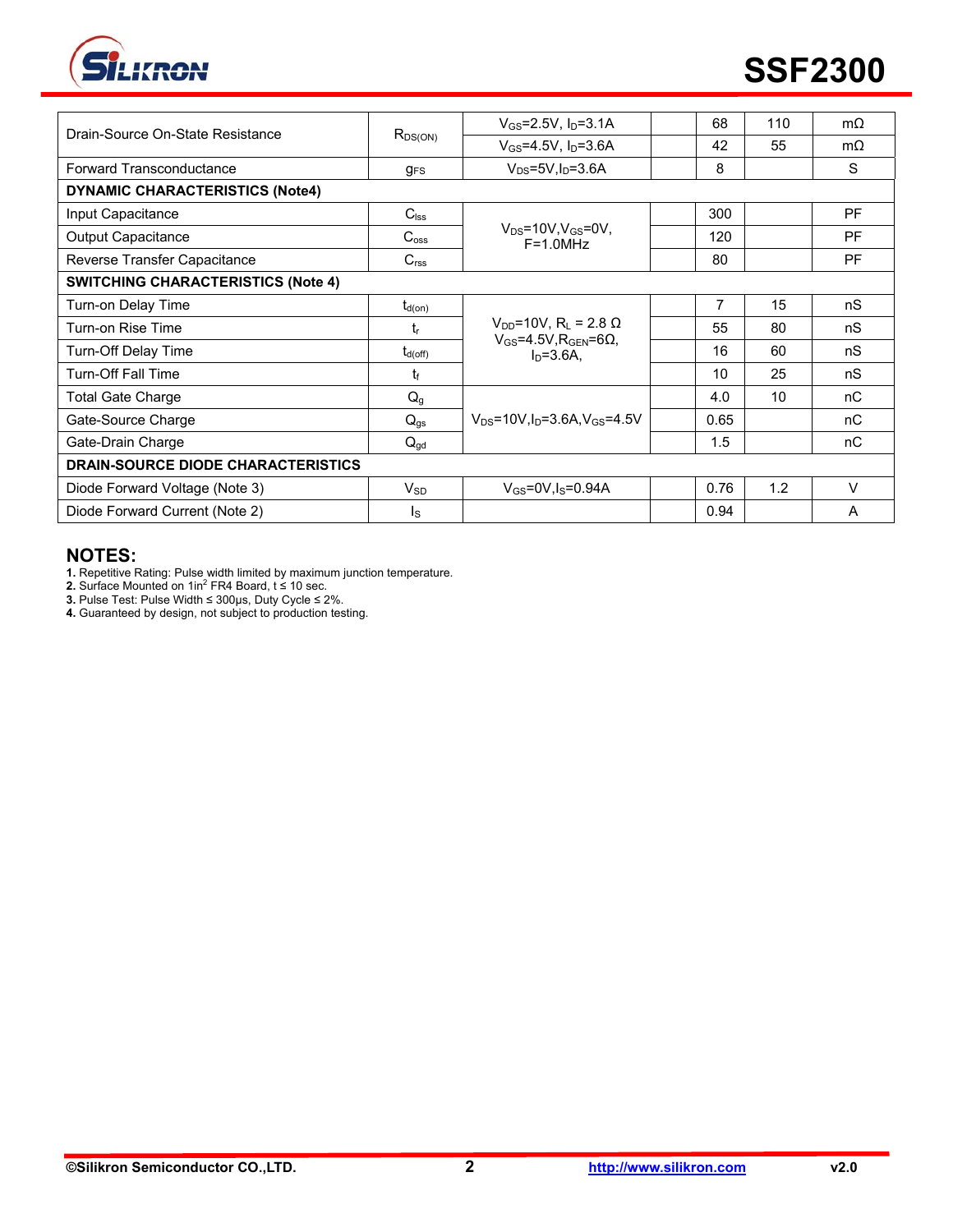

| Drain-Source On-State Resistance          | $R_{DS(ON)}$     | $V_{GS} = 2.5V$ , $I_D = 3.1A$                                                          | 68   | 110 | $m\Omega$ |
|-------------------------------------------|------------------|-----------------------------------------------------------------------------------------|------|-----|-----------|
|                                           |                  | $V_{GS} = 4.5V, I_D = 3.6A$                                                             | 42   | 55  | $m\Omega$ |
| Forward Transconductance                  | $g_{FS}$         | $V_{DS} = 5V I_D = 3.6A$                                                                | 8    |     | S         |
| <b>DYNAMIC CHARACTERISTICS (Note4)</b>    |                  |                                                                                         |      |     |           |
| Input Capacitance                         | $C_{\text{lss}}$ |                                                                                         | 300  |     | <b>PF</b> |
| Output Capacitance                        | $C_{\rm oss}$    | $V_{DS}$ =10V, $V_{GS}$ =0V,<br>$F = 1.0$ MHz                                           | 120  |     | <b>PF</b> |
| Reverse Transfer Capacitance              | C <sub>rss</sub> |                                                                                         | 80   |     | <b>PF</b> |
| <b>SWITCHING CHARACTERISTICS (Note 4)</b> |                  |                                                                                         |      |     |           |
| Turn-on Delay Time                        | $t_{\sf d(on)}$  |                                                                                         | 7    | 15  | nS        |
| Turn-on Rise Time                         | t,               | $V_{DD}$ =10V, R <sub>L</sub> = 2.8 Ω<br>$V_{GS}$ =4.5V, R <sub>GEN</sub> =6 $\Omega$ , | 55   | 80  | nS        |
| Turn-Off Delay Time                       | $t_{d(off)}$     | $In=3.6A.$                                                                              | 16   | 60  | nS        |
| <b>Turn-Off Fall Time</b>                 | tr               |                                                                                         | 10   | 25  | nS        |
| Total Gate Charge                         | $Q_g$            |                                                                                         | 4.0  | 10  | nC        |
| Gate-Source Charge                        | $Q_{gs}$         | $V_{DS} = 10V \cdot$ In=3.6A.V $_{GS} = 4.5V$                                           | 0.65 |     | nC        |
| Gate-Drain Charge                         | $Q_{gd}$         |                                                                                         | 1.5  |     | пC        |
| <b>DRAIN-SOURCE DIODE CHARACTERISTICS</b> |                  |                                                                                         |      |     |           |
| Diode Forward Voltage (Note 3)            | $V_{SD}$         | $V_{GS}$ =0V, $I_S$ =0.94A                                                              | 0.76 | 1.2 | $\vee$    |
| Diode Forward Current (Note 2)            | Is               |                                                                                         | 0.94 |     | A         |

#### **NOTES:**

**1.** Repetitive Rating: Pulse width limited by maximum junction temperature.<br>**2.** Surface Mounted on 1in<sup>2</sup> FR4 Board, t ≤ 10 sec.

**3.** Pulse Test: Pulse Width ≤ 300μs, Duty Cycle ≤ 2%.

**4.** Guaranteed by design, not subject to production testing.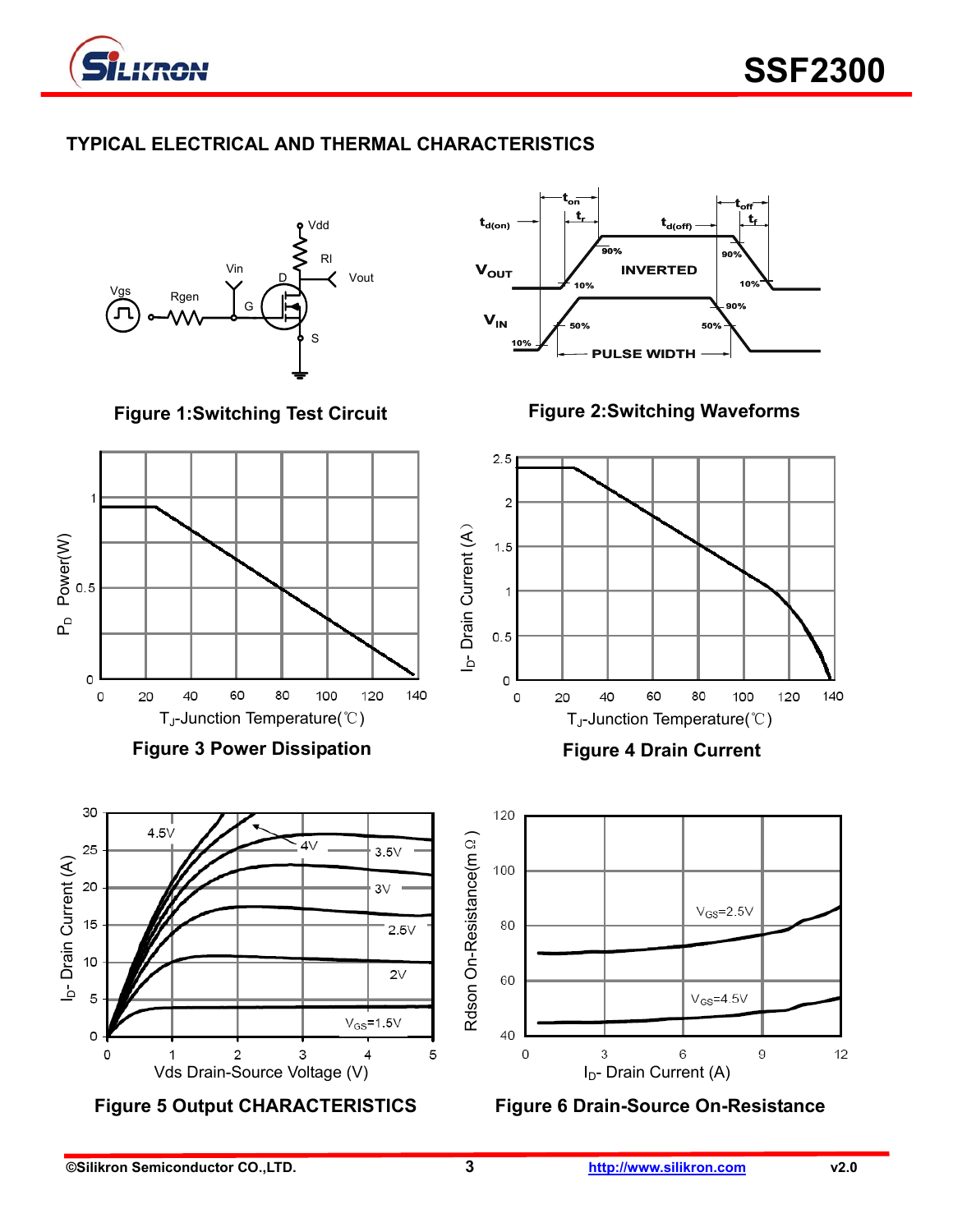

## **TYPICAL ELECTRICAL AND THERMAL CHARACTERISTICS**

Rgen Vin G Vdd Rl Vout S  $\overline{\mathsf{D}}$ 

**Figure 1:Switching Test Circuit** 



**Figure 3 Power Dissipation** 



**Figure 5 Output CHARACTERISTICS Figure 6 Drain-Source On-Resistance**



**Figure 2:Switching Waveforms** 



**Figure 4 Drain Current** 



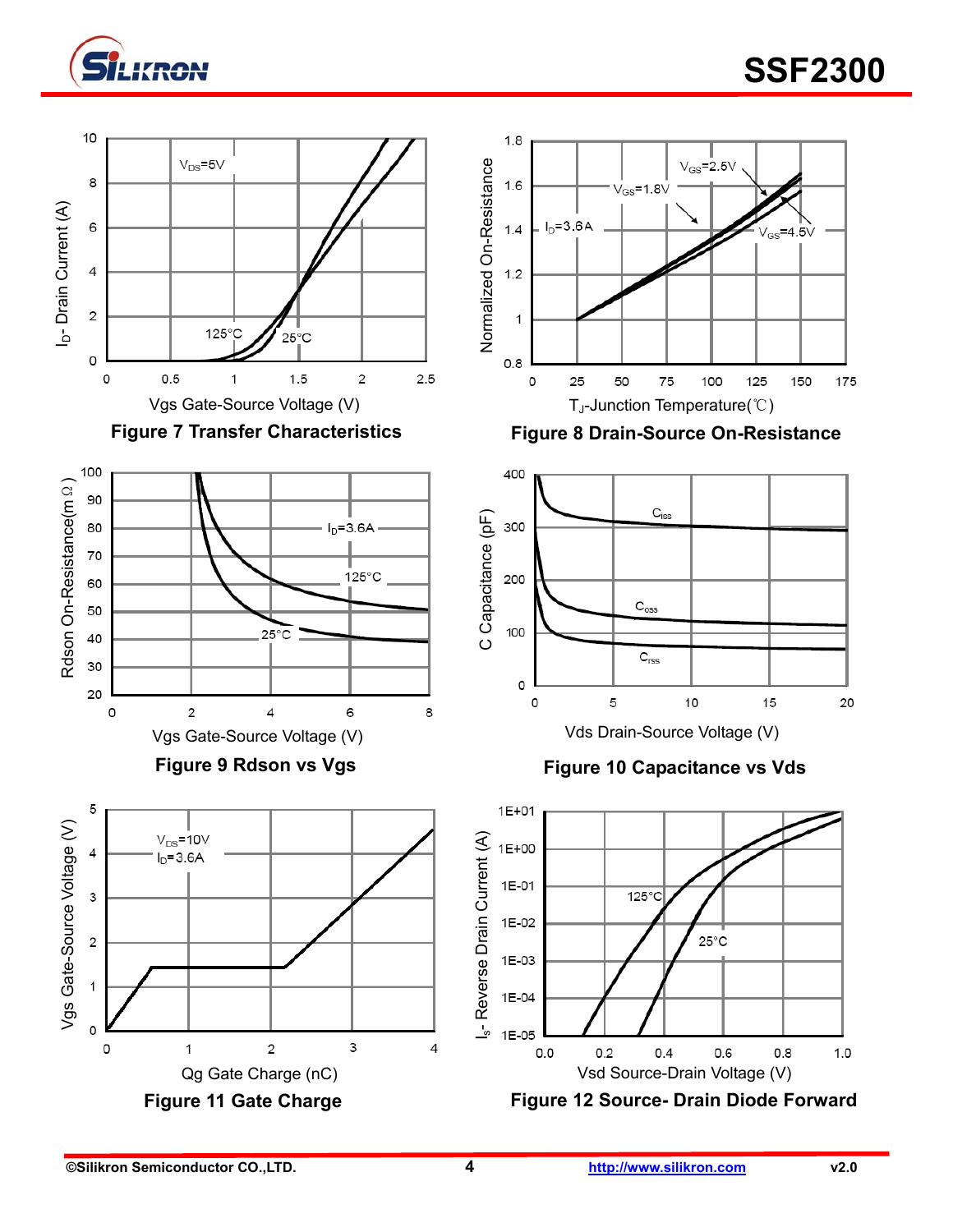

# **EXPLORE THE SSF2300**







**Figure 9 Rdson vs Vgs** 





Figure 7 Transfer Characteristics **Figure 8 Drain-Source On-Resistance** 



**Figure 10 Capacitance vs Vds** 

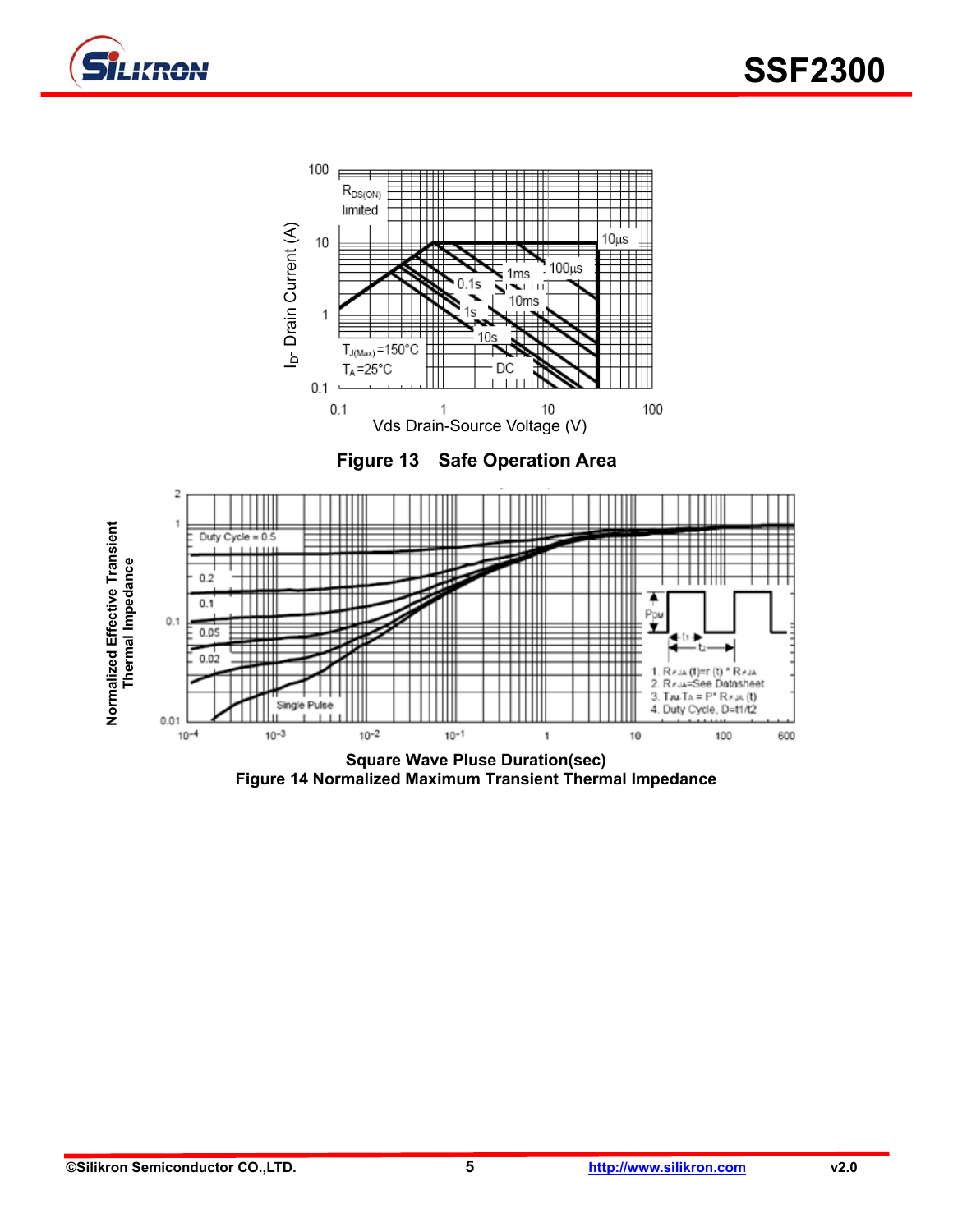







**Figure 14 Normalized Maximum Transient Thermal Impedance**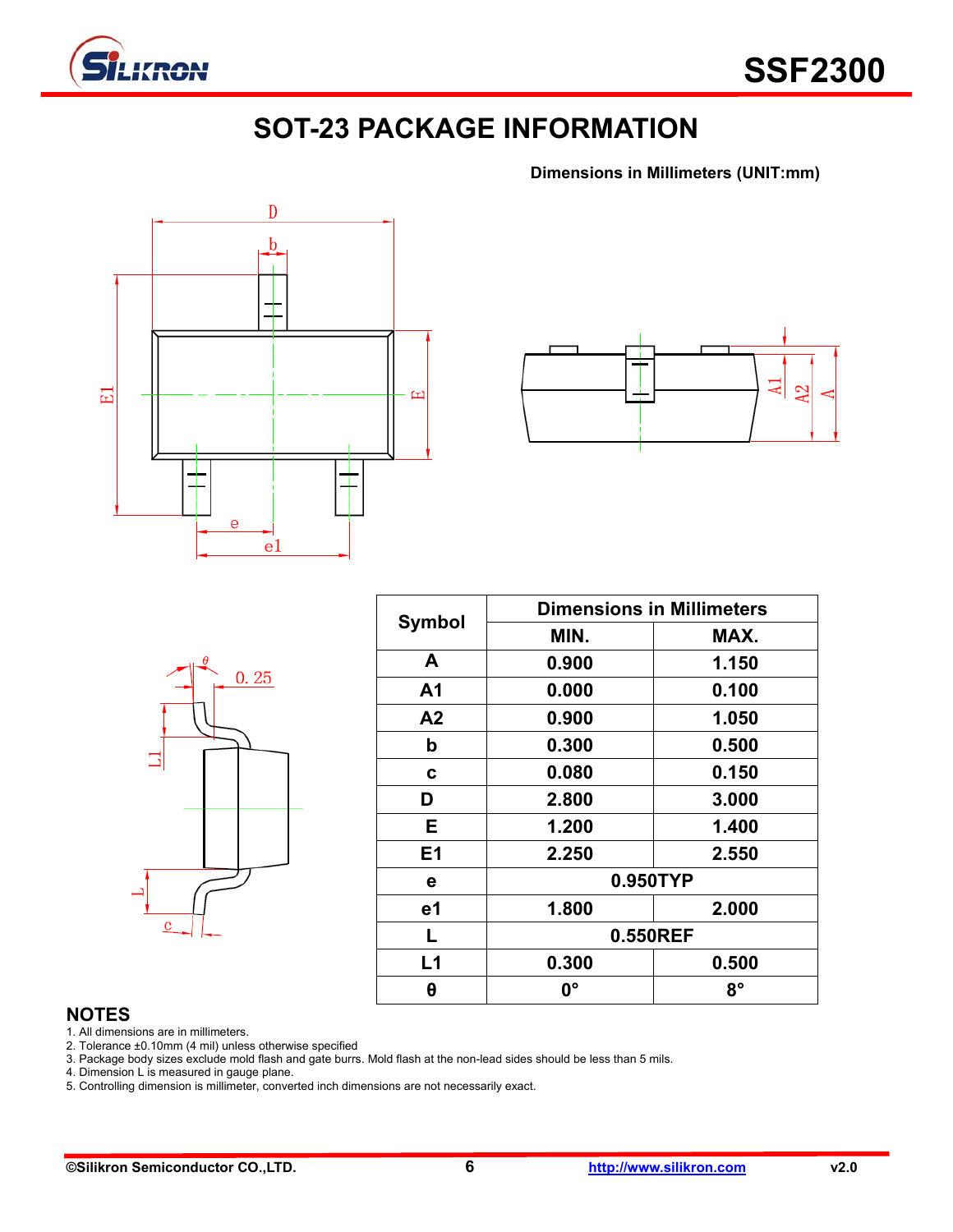

# **SOT-23 PACKAGE INFORMATION**

**Dimensions in Millimeters (UNIT:mm)**





|         | $\theta$ | 0.25 |  |
|---------|----------|------|--|
|         |          |      |  |
| $\bf c$ |          |      |  |

| <b>Symbol</b>  | <b>Dimensions in Millimeters</b> |       |  |  |
|----------------|----------------------------------|-------|--|--|
|                | MIN.                             | MAX.  |  |  |
| A              | 0.900                            | 1.150 |  |  |
| A <sub>1</sub> | 0.000                            | 0.100 |  |  |
| A2             | 0.900                            | 1.050 |  |  |
| b              | 0.300                            | 0.500 |  |  |
| C              | 0.080                            | 0.150 |  |  |
| D              | 2.800                            | 3.000 |  |  |
| E.             | 1.200                            | 1.400 |  |  |
| E <sub>1</sub> | 2.250                            | 2.550 |  |  |
| е              | 0.950TYP                         |       |  |  |
| e1             | 1.800                            | 2.000 |  |  |
| L              | 0.550REF                         |       |  |  |
| L1             | 0.300                            | 0.500 |  |  |
| θ              | 0°                               | 8°    |  |  |

#### **NOTES**

1. All dimensions are in millimeters.

2. Tolerance ±0.10mm (4 mil) unless otherwise specified

3. Package body sizes exclude mold flash and gate burrs. Mold flash at the non-lead sides should be less than 5 mils.

4. Dimension L is measured in gauge plane.

5. Controlling dimension is millimeter, converted inch dimensions are not necessarily exact.